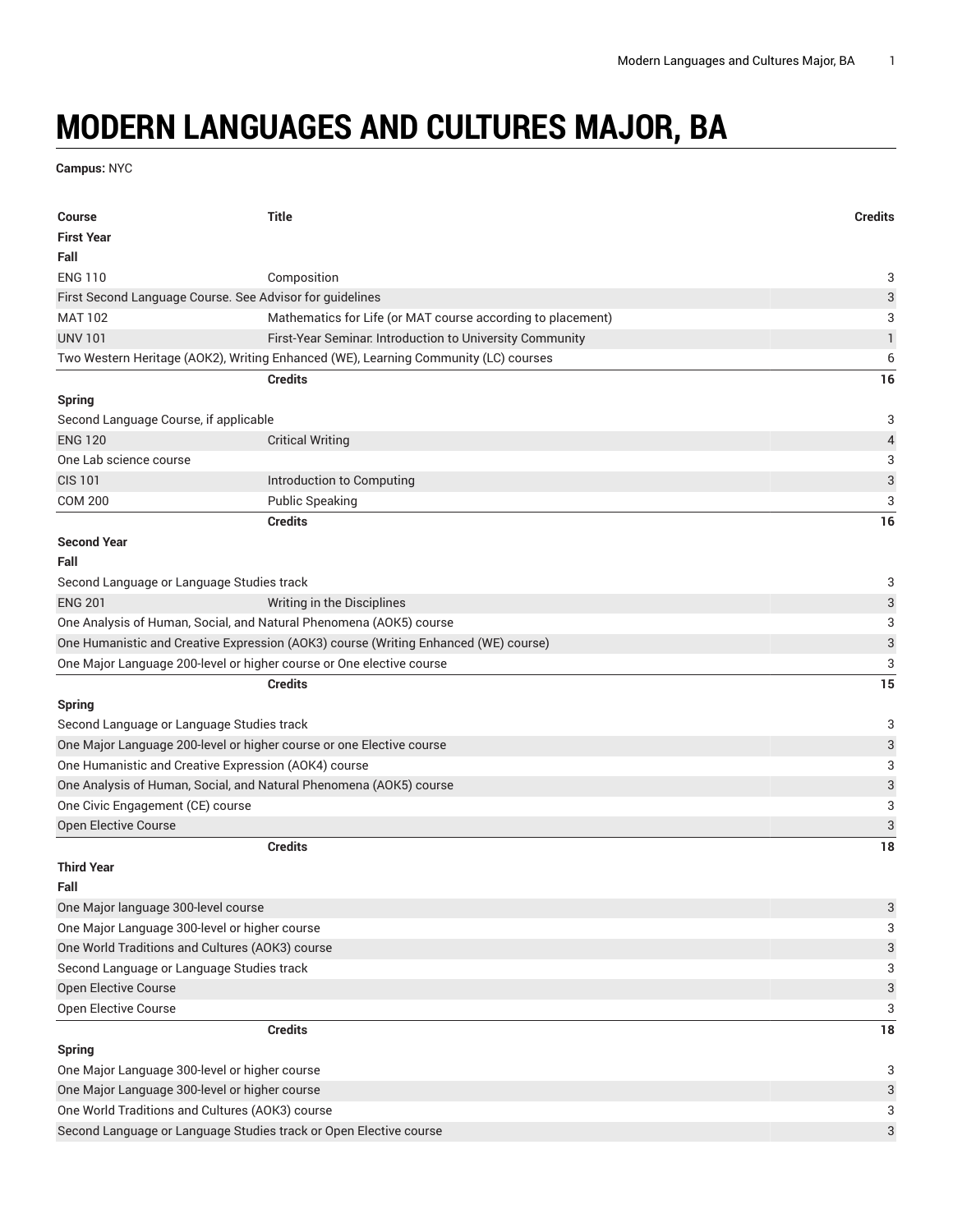## **MODERN LANGUAGES AND CULTURES MAJOR, BA**

**Campus:** NYC

| <b>Course</b>                                                                       | <b>Title</b>                                                                        | <b>Credits</b>            |
|-------------------------------------------------------------------------------------|-------------------------------------------------------------------------------------|---------------------------|
| <b>First Year</b>                                                                   |                                                                                     |                           |
| Fall                                                                                |                                                                                     |                           |
| <b>ENG 110</b>                                                                      | Composition                                                                         | 3                         |
| First Second Language Course. See Advisor for guidelines                            |                                                                                     | $\ensuremath{\mathsf{3}}$ |
| <b>MAT 102</b>                                                                      | Mathematics for Life (or MAT course according to placement)                         | 3                         |
| <b>UNV 101</b>                                                                      | First-Year Seminar. Introduction to University Community                            | $\mathbf{1}$              |
|                                                                                     | Two Western Heritage (AOK2), Writing Enhanced (WE), Learning Community (LC) courses | 6                         |
|                                                                                     | <b>Credits</b>                                                                      | 16                        |
| <b>Spring</b>                                                                       |                                                                                     |                           |
| Second Language Course, if applicable                                               |                                                                                     | 3                         |
| <b>ENG 120</b>                                                                      | <b>Critical Writing</b>                                                             | $\overline{4}$            |
| One Lab science course                                                              |                                                                                     | 3                         |
| <b>CIS 101</b>                                                                      | Introduction to Computing                                                           | $\ensuremath{\mathsf{3}}$ |
| <b>COM 200</b>                                                                      | <b>Public Speaking</b>                                                              | 3                         |
|                                                                                     | <b>Credits</b>                                                                      | 16                        |
| <b>Second Year</b>                                                                  |                                                                                     |                           |
| Fall                                                                                |                                                                                     |                           |
| Second Language or Language Studies track                                           |                                                                                     | 3                         |
| <b>ENG 201</b>                                                                      | Writing in the Disciplines                                                          | 3                         |
| One Analysis of Human, Social, and Natural Phenomena (AOK5) course                  |                                                                                     | 3                         |
| One Humanistic and Creative Expression (AOK3) course (Writing Enhanced (WE) course) |                                                                                     | $\ensuremath{\mathsf{3}}$ |
|                                                                                     | One Major Language 200-level or higher course or One elective course                | 3                         |
|                                                                                     | <b>Credits</b>                                                                      | 15                        |
| <b>Spring</b>                                                                       |                                                                                     |                           |
| Second Language or Language Studies track                                           |                                                                                     | 3                         |
| One Major Language 200-level or higher course or one Elective course                |                                                                                     | 3                         |
| One Humanistic and Creative Expression (AOK4) course                                |                                                                                     | 3                         |
|                                                                                     | One Analysis of Human, Social, and Natural Phenomena (AOK5) course                  | $\ensuremath{\mathsf{3}}$ |
| One Civic Engagement (CE) course                                                    |                                                                                     | 3                         |
| Open Elective Course                                                                |                                                                                     | $\ensuremath{\mathsf{3}}$ |
|                                                                                     | <b>Credits</b>                                                                      | 18                        |
| <b>Third Year</b>                                                                   |                                                                                     |                           |
| Fall                                                                                |                                                                                     |                           |
| One Major language 300-level course                                                 |                                                                                     | $\ensuremath{\mathsf{3}}$ |
| One Major Language 300-level or higher course                                       |                                                                                     | 3                         |
| One World Traditions and Cultures (AOK3) course                                     |                                                                                     | 3                         |
| Second Language or Language Studies track                                           |                                                                                     | 3                         |
| Open Elective Course                                                                |                                                                                     | $\ensuremath{\mathsf{3}}$ |
| Open Elective Course                                                                |                                                                                     | 3                         |
|                                                                                     | <b>Credits</b>                                                                      | 18                        |
| <b>Spring</b>                                                                       |                                                                                     |                           |
| One Major Language 300-level or higher course                                       |                                                                                     | 3                         |
| One Major Language 300-level or higher course                                       |                                                                                     | $\ensuremath{\mathsf{3}}$ |
| One World Traditions and Cultures (AOK3) course                                     |                                                                                     | 3                         |
| Second Language or Language Studies track or Open Elective course                   |                                                                                     | 3                         |